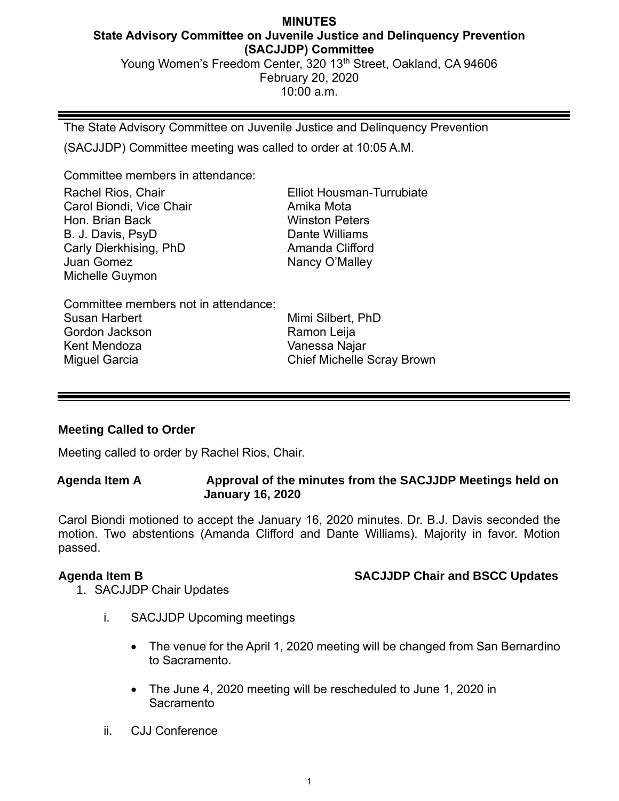## **MINUTES State Advisory Committee on Juvenile Justice and Delinquency Prevention (SACJJDP) Committee** Young Women's Freedom Center, 320 13<sup>th</sup> Street, Oakland, CA 94606 February 20, 2020 10:00 a.m.

The State Advisory Committee on Juvenile Justice and Delinquency Prevention (SACJJDP) Committee meeting was called to order at 10:05 A.M.

Committee members in attendance:

Elliot Housman-Turrubiate Amika Mota Winston Peters Dante Williams Amanda Clifford Nancy O'Malley

Committee members not in attendance: Susan Harbert Gordon Jackson Kent Mendoza Miguel Garcia

Mimi Silbert, PhD Ramon Leija Vanessa Najar Chief Michelle Scray Brown

# **Meeting Called to Order**

Meeting called to order by Rachel Rios, Chair.

**Agenda Item A Approval of the minutes from the SACJJDP Meetings held on January 16, 2020**

Carol Biondi motioned to accept the January 16, 2020 minutes. Dr. B.J. Davis seconded the motion. Two abstentions (Amanda Clifford and Dante Williams). Majority in favor. Motion passed.

**Agenda Item B SACJJDP Chair and BSCC Updates**

- 1. SACJJDP Chair Updates
	- i. SACJJDP Upcoming meetings
		- The venue for the April 1, 2020 meeting will be changed from San Bernardino to Sacramento.
		- The June 4, 2020 meeting will be rescheduled to June 1, 2020 in Sacramento
	- ii. CJJ Conference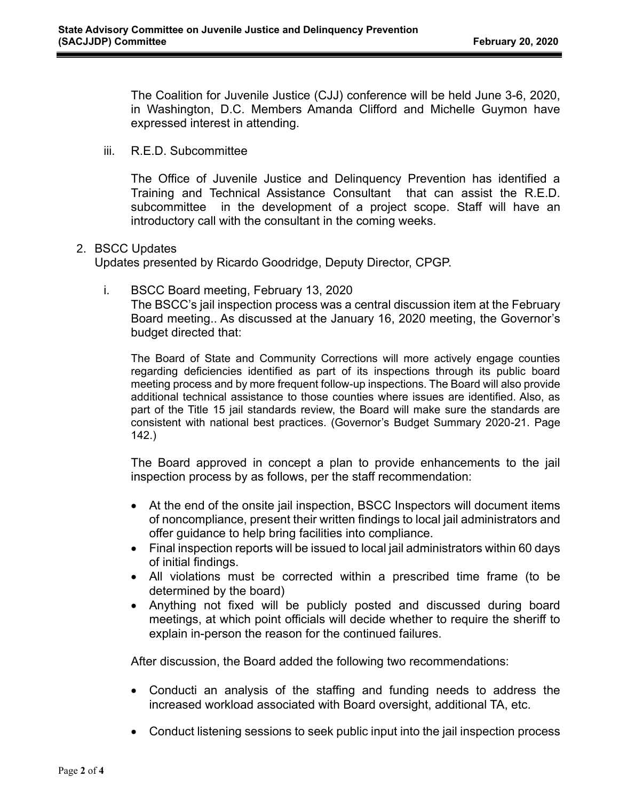The Coalition for Juvenile Justice (CJJ) conference will be held June 3-6, 2020, in Washington, D.C. Members Amanda Clifford and Michelle Guymon have expressed interest in attending.

iii. R.E.D. Subcommittee

The Office of Juvenile Justice and Delinquency Prevention has identified a Training and Technical Assistance Consultant that can assist the R.E.D. subcommittee in the development of a project scope. Staff will have an introductory call with the consultant in the coming weeks.

## 2. BSCC Updates

Updates presented by Ricardo Goodridge, Deputy Director, CPGP.

i. BSCC Board meeting, February 13, 2020 The BSCC's jail inspection process was a central discussion item at the February Board meeting.. As discussed at the January 16, 2020 meeting, the Governor's budget directed that:

The Board of State and Community Corrections will more actively engage counties regarding deficiencies identified as part of its inspections through its public board meeting process and by more frequent follow-up inspections. The Board will also provide additional technical assistance to those counties where issues are identified. Also, as part of the Title 15 jail standards review, the Board will make sure the standards are consistent with national best practices. (Governor's Budget Summary 2020-21. Page 142.)

The Board approved in concept a plan to provide enhancements to the jail inspection process by as follows, per the staff recommendation:

- At the end of the onsite jail inspection, BSCC Inspectors will document items of noncompliance, present their written findings to local jail administrators and offer guidance to help bring facilities into compliance.
- Final inspection reports will be issued to local jail administrators within 60 days of initial findings.
- All violations must be corrected within a prescribed time frame (to be determined by the board)
- Anything not fixed will be publicly posted and discussed during board meetings, at which point officials will decide whether to require the sheriff to explain in-person the reason for the continued failures.

After discussion, the Board added the following two recommendations:

- Conducti an analysis of the staffing and funding needs to address the increased workload associated with Board oversight, additional TA, etc.
- Conduct listening sessions to seek public input into the jail inspection process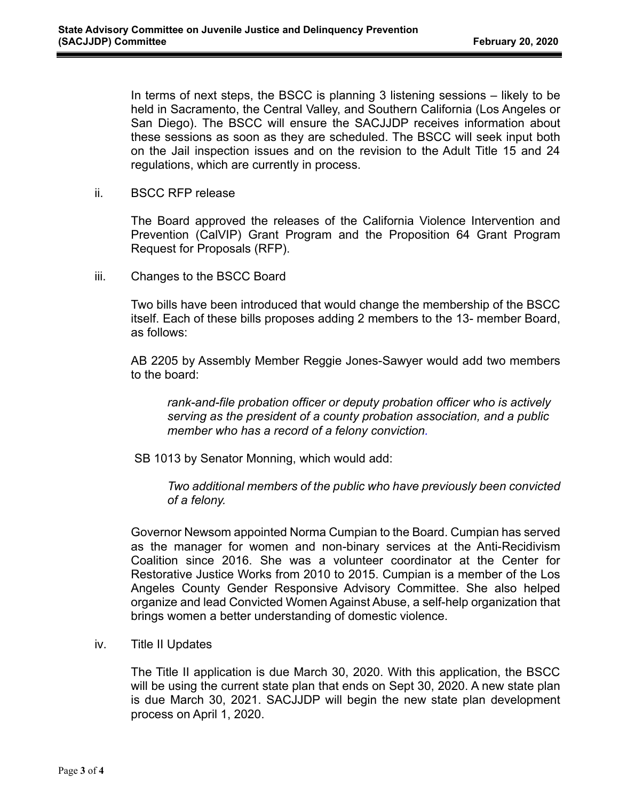In terms of next steps, the BSCC is planning 3 listening sessions – likely to be held in Sacramento, the Central Valley, and Southern California (Los Angeles or San Diego). The BSCC will ensure the SACJJDP receives information about these sessions as soon as they are scheduled. The BSCC will seek input both on the Jail inspection issues and on the revision to the Adult Title 15 and 24 regulations, which are currently in process.

ii. BSCC RFP release

The Board approved the releases of the California Violence Intervention and Prevention (CalVIP) Grant Program and the Proposition 64 Grant Program Request for Proposals (RFP).

iii. Changes to the BSCC Board

Two bills have been introduced that would change the membership of the BSCC itself. Each of these bills proposes adding 2 members to the 13- member Board, as follows:

AB 2205 by Assembly Member Reggie Jones-Sawyer would add two members to the board:

*rank-and-file probation officer or deputy probation officer who is actively serving as the president of a county probation association, and a public member who has a record of a felony conviction.*

SB 1013 by Senator Monning, which would add:

*Two additional members of the public who have previously been convicted of a felony.*

Governor Newsom appointed Norma Cumpian to the Board. Cumpian has served as the manager for women and non-binary services at the Anti-Recidivism Coalition since 2016. She was a volunteer coordinator at the Center for Restorative Justice Works from 2010 to 2015. Cumpian is a member of the Los Angeles County Gender Responsive Advisory Committee. She also helped organize and lead Convicted Women Against Abuse, a self-help organization that brings women a better understanding of domestic violence.

iv. Title II Updates

The Title II application is due March 30, 2020. With this application, the BSCC will be using the current state plan that ends on Sept 30, 2020. A new state plan is due March 30, 2021. SACJJDP will begin the new state plan development process on April 1, 2020.